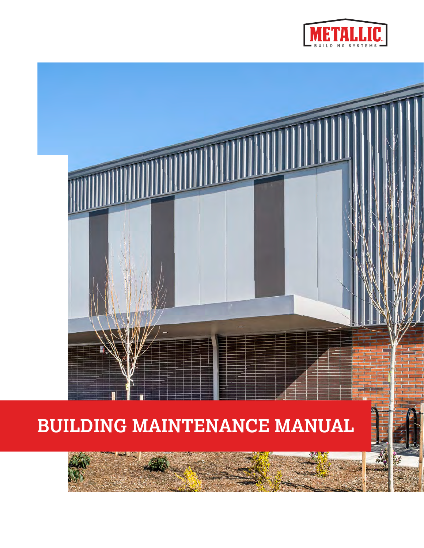



# **BUILDING MAINTENANCE MANUAL**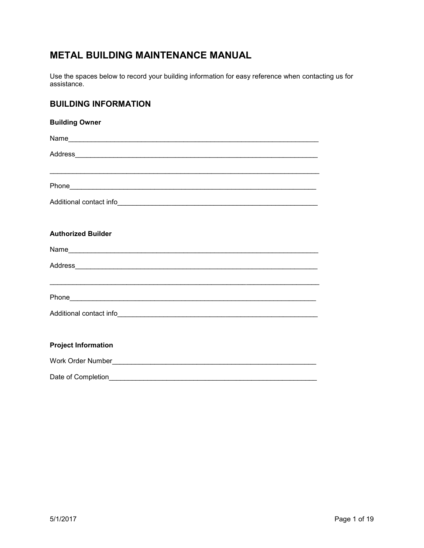# **METAL BUILDING MAINTENANCE MANUAL**

Use the spaces below to record your building information for easy reference when contacting us for assistance.

## **BUILDING INFORMATION**

| <b>Building Owner</b>                                                             |
|-----------------------------------------------------------------------------------|
|                                                                                   |
|                                                                                   |
|                                                                                   |
|                                                                                   |
|                                                                                   |
|                                                                                   |
| <b>Authorized Builder</b>                                                         |
|                                                                                   |
|                                                                                   |
| ,我们也不能在这里的人,我们也不能在这里的人,我们也不能在这里的人,我们也不能在这里的人,我们也不能在这里的人,我们也不能在这里的人,我们也不能在这里的人,我们也 |
|                                                                                   |
|                                                                                   |
|                                                                                   |
| <b>Project Information</b>                                                        |
|                                                                                   |
| Date of Completion                                                                |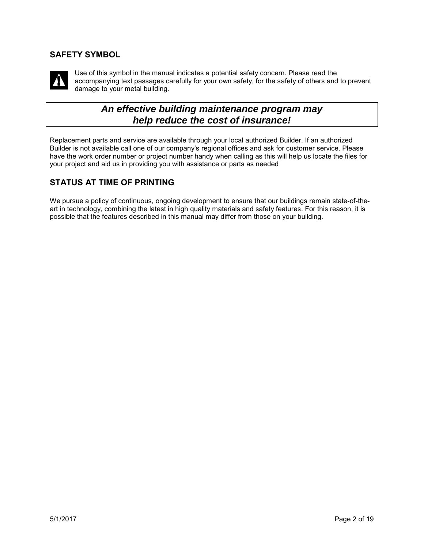## **SAFETY SYMBOL**



Use of this symbol in the manual indicates a potential safety concern. Please read the accompanying text passages carefully for your own safety, for the safety of others and to prevent damage to your metal building.

# *An effective building maintenance program may help reduce the cost of insurance!*

Replacement parts and service are available through your local authorized Builder. If an authorized Builder is not available call one of our company's regional offices and ask for customer service. Please have the work order number or project number handy when calling as this will help us locate the files for your project and aid us in providing you with assistance or parts as needed

## **STATUS AT TIME OF PRINTING**

We pursue a policy of continuous, ongoing development to ensure that our buildings remain state-of-theart in technology, combining the latest in high quality materials and safety features. For this reason, it is possible that the features described in this manual may differ from those on your building.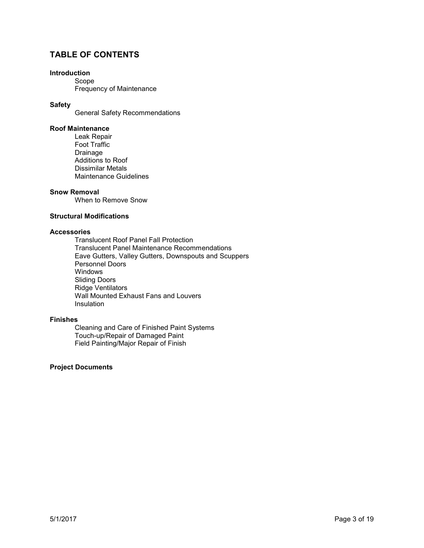## **TABLE OF CONTENTS**

#### **Introduction**

Scope Frequency of Maintenance

#### **Safety**

General Safety Recommendations

#### **Roof Maintenance**

Leak Repair Foot Traffic Drainage Additions to Roof Dissimilar Metals Maintenance Guidelines

#### **Snow Removal**

When to Remove Snow

#### **Structural Modifications**

#### **Accessories**

Translucent Roof Panel Fall Protection Translucent Panel Maintenance Recommendations Eave Gutters, Valley Gutters, Downspouts and Scuppers Personnel Doors Windows Sliding Doors Ridge Ventilators Wall Mounted Exhaust Fans and Louvers Insulation

#### **Finishes**

Cleaning and Care of Finished Paint Systems Touch-up/Repair of Damaged Paint Field Painting/Major Repair of Finish

#### **Project Documents**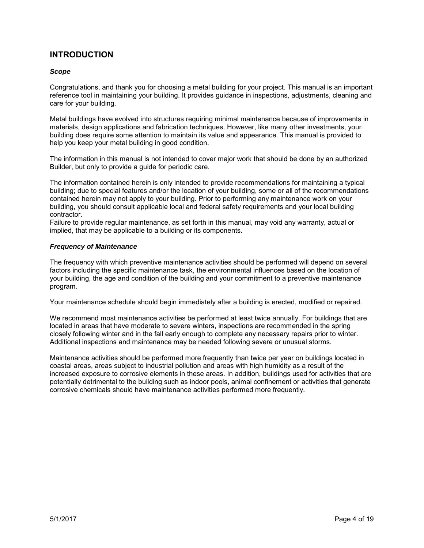## **INTRODUCTION**

#### *Scope*

Congratulations, and thank you for choosing a metal building for your project. This manual is an important reference tool in maintaining your building. It provides guidance in inspections, adjustments, cleaning and care for your building.

Metal buildings have evolved into structures requiring minimal maintenance because of improvements in materials, design applications and fabrication techniques. However, like many other investments, your building does require some attention to maintain its value and appearance. This manual is provided to help you keep your metal building in good condition.

The information in this manual is not intended to cover major work that should be done by an authorized Builder, but only to provide a guide for periodic care.

The information contained herein is only intended to provide recommendations for maintaining a typical building; due to special features and/or the location of your building, some or all of the recommendations contained herein may not apply to your building. Prior to performing any maintenance work on your building, you should consult applicable local and federal safety requirements and your local building contractor.

Failure to provide regular maintenance, as set forth in this manual, may void any warranty, actual or implied, that may be applicable to a building or its components.

#### *Frequency of Maintenance*

The frequency with which preventive maintenance activities should be performed will depend on several factors including the specific maintenance task, the environmental influences based on the location of your building, the age and condition of the building and your commitment to a preventive maintenance program.

Your maintenance schedule should begin immediately after a building is erected, modified or repaired.

We recommend most maintenance activities be performed at least twice annually. For buildings that are located in areas that have moderate to severe winters, inspections are recommended in the spring closely following winter and in the fall early enough to complete any necessary repairs prior to winter. Additional inspections and maintenance may be needed following severe or unusual storms.

Maintenance activities should be performed more frequently than twice per year on buildings located in coastal areas, areas subject to industrial pollution and areas with high humidity as a result of the increased exposure to corrosive elements in these areas. In addition, buildings used for activities that are potentially detrimental to the building such as indoor pools, animal confinement or activities that generate corrosive chemicals should have maintenance activities performed more frequently.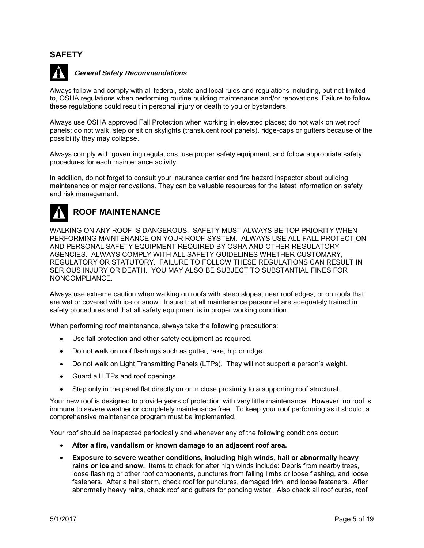### **SAFETY**



#### *General Safety Recommendations*

Always follow and comply with all federal, state and local rules and regulations including, but not limited to, OSHA regulations when performing routine building maintenance and/or renovations. Failure to follow these regulations could result in personal injury or death to you or bystanders.

Always use OSHA approved Fall Protection when working in elevated places; do not walk on wet roof panels; do not walk, step or sit on skylights (translucent roof panels), ridge-caps or gutters because of the possibility they may collapse.

Always comply with governing regulations, use proper safety equipment, and follow appropriate safety procedures for each maintenance activity.

In addition, do not forget to consult your insurance carrier and fire hazard inspector about building maintenance or major renovations. They can be valuable resources for the latest information on safety and risk management.



## **ROOF MAINTENANCE**

WALKING ON ANY ROOF IS DANGEROUS. SAFETY MUST ALWAYS BE TOP PRIORITY WHEN PERFORMING MAINTENANCE ON YOUR ROOF SYSTEM. ALWAYS USE ALL FALL PROTECTION AND PERSONAL SAFETY EQUIPMENT REQUIRED BY OSHA AND OTHER REGULATORY AGENCIES. ALWAYS COMPLY WITH ALL SAFETY GUIDELINES WHETHER CUSTOMARY, REGULATORY OR STATUTORY. FAILURE TO FOLLOW THESE REGULATIONS CAN RESULT IN SERIOUS INJURY OR DEATH. YOU MAY ALSO BE SUBJECT TO SUBSTANTIAL FINES FOR NONCOMPLIANCE.

Always use extreme caution when walking on roofs with steep slopes, near roof edges, or on roofs that are wet or covered with ice or snow. Insure that all maintenance personnel are adequately trained in safety procedures and that all safety equipment is in proper working condition.

When performing roof maintenance, always take the following precautions:

- Use fall protection and other safety equipment as required.
- Do not walk on roof flashings such as gutter, rake, hip or ridge.
- Do not walk on Light Transmitting Panels (LTPs). They will not support a person's weight.
- Guard all LTPs and roof openings.
- Step only in the panel flat directly on or in close proximity to a supporting roof structural.

Your new roof is designed to provide years of protection with very little maintenance. However, no roof is immune to severe weather or completely maintenance free. To keep your roof performing as it should, a comprehensive maintenance program must be implemented.

Your roof should be inspected periodically and whenever any of the following conditions occur:

- **After a fire, vandalism or known damage to an adjacent roof area.**
- **Exposure to severe weather conditions, including high winds, hail or abnormally heavy rains or ice and snow.** Items to check for after high winds include: Debris from nearby trees, loose flashing or other roof components, punctures from falling limbs or loose flashing, and loose fasteners. After a hail storm, check roof for punctures, damaged trim, and loose fasteners. After abnormally heavy rains, check roof and gutters for ponding water. Also check all roof curbs, roof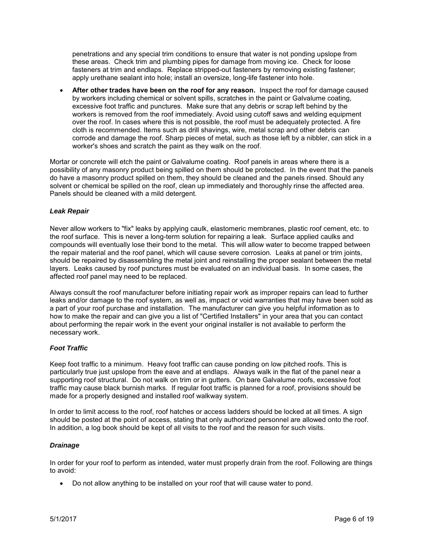penetrations and any special trim conditions to ensure that water is not ponding upslope from these areas. Check trim and plumbing pipes for damage from moving ice. Check for loose fasteners at trim and endlaps. Replace stripped-out fasteners by removing existing fastener; apply urethane sealant into hole; install an oversize, long-life fastener into hole.

• **After other trades have been on the roof for any reason.** Inspect the roof for damage caused by workers including chemical or solvent spills, scratches in the paint or Galvalume coating, excessive foot traffic and punctures. Make sure that any debris or scrap left behind by the workers is removed from the roof immediately. Avoid using cutoff saws and welding equipment over the roof. In cases where this is not possible, the roof must be adequately protected. A fire cloth is recommended. Items such as drill shavings, wire, metal scrap and other debris can corrode and damage the roof. Sharp pieces of metal, such as those left by a nibbler, can stick in a worker's shoes and scratch the paint as they walk on the roof.

Mortar or concrete will etch the paint or Galvalume coating. Roof panels in areas where there is a possibility of any masonry product being spilled on them should be protected. In the event that the panels do have a masonry product spilled on them, they should be cleaned and the panels rinsed. Should any solvent or chemical be spilled on the roof, clean up immediately and thoroughly rinse the affected area. Panels should be cleaned with a mild detergent.

#### *Leak Repair*

Never allow workers to "fix" leaks by applying caulk, elastomeric membranes, plastic roof cement, etc. to the roof surface. This is never a long-term solution for repairing a leak. Surface applied caulks and compounds will eventually lose their bond to the metal. This will allow water to become trapped between the repair material and the roof panel, which will cause severe corrosion. Leaks at panel or trim joints, should be repaired by disassembling the metal joint and reinstalling the proper sealant between the metal layers. Leaks caused by roof punctures must be evaluated on an individual basis. In some cases, the affected roof panel may need to be replaced.

Always consult the roof manufacturer before initiating repair work as improper repairs can lead to further leaks and/or damage to the roof system, as well as, impact or void warranties that may have been sold as a part of your roof purchase and installation. The manufacturer can give you helpful information as to how to make the repair and can give you a list of "Certified Installers" in your area that you can contact about performing the repair work in the event your original installer is not available to perform the necessary work.

#### *Foot Traffic*

Keep foot traffic to a minimum. Heavy foot traffic can cause ponding on low pitched roofs. This is particularly true just upslope from the eave and at endlaps. Always walk in the flat of the panel near a supporting roof structural. Do not walk on trim or in gutters. On bare Galvalume roofs, excessive foot traffic may cause black burnish marks. If regular foot traffic is planned for a roof, provisions should be made for a properly designed and installed roof walkway system.

In order to limit access to the roof, roof hatches or access ladders should be locked at all times. A sign should be posted at the point of access, stating that only authorized personnel are allowed onto the roof. In addition, a log book should be kept of all visits to the roof and the reason for such visits.

#### *Drainage*

In order for your roof to perform as intended, water must properly drain from the roof. Following are things to avoid:

• Do not allow anything to be installed on your roof that will cause water to pond.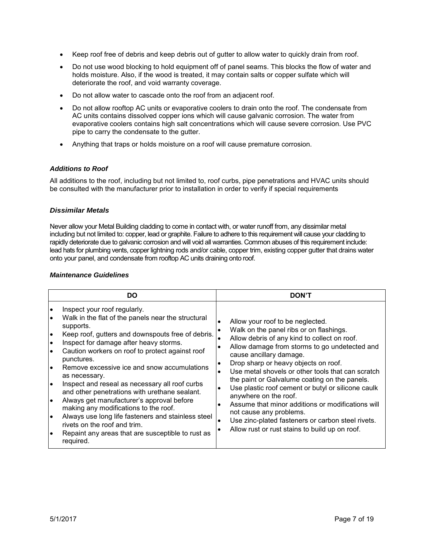- Keep roof free of debris and keep debris out of gutter to allow water to quickly drain from roof.
- Do not use wood blocking to hold equipment off of panel seams. This blocks the flow of water and holds moisture. Also, if the wood is treated, it may contain salts or copper sulfate which will deteriorate the roof, and void warranty coverage.
- Do not allow water to cascade onto the roof from an adjacent roof.
- Do not allow rooftop AC units or evaporative coolers to drain onto the roof. The condensate from AC units contains dissolved copper ions which will cause galvanic corrosion. The water from evaporative coolers contains high salt concentrations which will cause severe corrosion. Use PVC pipe to carry the condensate to the gutter.
- Anything that traps or holds moisture on a roof will cause premature corrosion.

#### *Additions to Roof*

All additions to the roof, including but not limited to, roof curbs, pipe penetrations and HVAC units should be consulted with the manufacturer prior to installation in order to verify if special requirements

#### *Dissimilar Metals*

Never allow your Metal Building cladding to come in contact with, or water runoff from, any dissimilar metal including but not limited to: copper, lead or graphite. Failure to adhere to this requirement will cause your cladding to rapidly deteriorate due to galvanic corrosion and will void all warranties. Common abuses of this requirement include: lead hats for plumbing vents, copper lightning rods and/or cable, copper trim, existing copper gutter that drains water onto your panel, and condensate from rooftop AC units draining onto roof.

#### *Maintenance Guidelines*

| DO                                                                                                                                                                                                                                                                                                                                                                                                                                                                                                                                                                                                                                                                                                                                                                                                   | <b>DON'T</b>                                                                                                                                                                                                                                                                                                                                                                                                                                                                                                                                                                                                                                                                 |  |
|------------------------------------------------------------------------------------------------------------------------------------------------------------------------------------------------------------------------------------------------------------------------------------------------------------------------------------------------------------------------------------------------------------------------------------------------------------------------------------------------------------------------------------------------------------------------------------------------------------------------------------------------------------------------------------------------------------------------------------------------------------------------------------------------------|------------------------------------------------------------------------------------------------------------------------------------------------------------------------------------------------------------------------------------------------------------------------------------------------------------------------------------------------------------------------------------------------------------------------------------------------------------------------------------------------------------------------------------------------------------------------------------------------------------------------------------------------------------------------------|--|
| Inspect your roof regularly.<br>$\bullet$<br>Walk in the flat of the panels near the structural<br>$\bullet$<br>supports.<br>Keep roof, gutters and downspouts free of debris.<br>$\bullet$<br>Inspect for damage after heavy storms.<br>$\bullet$<br>Caution workers on roof to protect against roof<br>$\bullet$<br>punctures.<br>l.<br>Remove excessive ice and snow accumulations<br>as necessary.<br>Inspect and reseal as necessary all roof curbs<br>I۰<br>and other penetrations with urethane sealant.<br>Always get manufacturer's approval before<br>$\bullet$<br>making any modifications to the roof.<br>Always use long life fasteners and stainless steel<br>$\bullet$<br>rivets on the roof and trim.<br>Repaint any areas that are susceptible to rust as<br>$\bullet$<br>required. | Allow your roof to be neglected.<br>Walk on the panel ribs or on flashings.<br>Allow debris of any kind to collect on roof.<br>Allow damage from storms to go undetected and<br>٠<br>cause ancillary damage.<br>Drop sharp or heavy objects on roof.<br>$\bullet$<br>Use metal shovels or other tools that can scratch<br>the paint or Galvalume coating on the panels.<br>Use plastic roof cement or butyl or silicone caulk<br>$\bullet$<br>anywhere on the roof.<br>Assume that minor additions or modifications will<br>$\bullet$<br>not cause any problems.<br>Use zinc-plated fasteners or carbon steel rivets.<br>٠<br>Allow rust or rust stains to build up on roof. |  |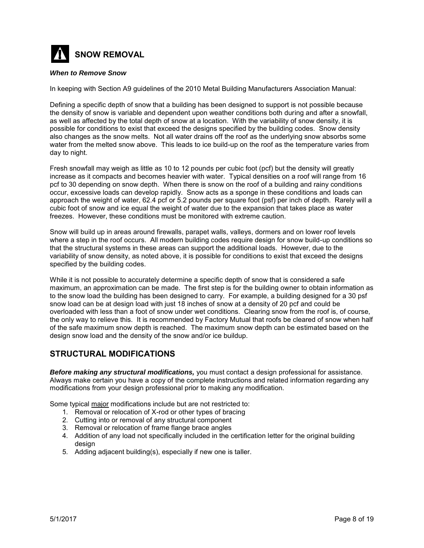

#### *When to Remove Snow*

In keeping with Section A9 guidelines of the 2010 Metal Building Manufacturers Association Manual:

Defining a specific depth of snow that a building has been designed to support is not possible because the density of snow is variable and dependent upon weather conditions both during and after a snowfall, as well as affected by the total depth of snow at a location. With the variability of snow density, it is possible for conditions to exist that exceed the designs specified by the building codes. Snow density also changes as the snow melts. Not all water drains off the roof as the underlying snow absorbs some water from the melted snow above. This leads to ice build-up on the roof as the temperature varies from day to night.

Fresh snowfall may weigh as little as 10 to 12 pounds per cubic foot (pcf) but the density will greatly increase as it compacts and becomes heavier with water. Typical densities on a roof will range from 16 pcf to 30 depending on snow depth. When there is snow on the roof of a building and rainy conditions occur, excessive loads can develop rapidly. Snow acts as a sponge in these conditions and loads can approach the weight of water, 62.4 pcf or 5.2 pounds per square foot (psf) per inch of depth. Rarely will a cubic foot of snow and ice equal the weight of water due to the expansion that takes place as water freezes. However, these conditions must be monitored with extreme caution.

Snow will build up in areas around firewalls, parapet walls, valleys, dormers and on lower roof levels where a step in the roof occurs. All modern building codes require design for snow build-up conditions so that the structural systems in these areas can support the additional loads. However, due to the variability of snow density, as noted above, it is possible for conditions to exist that exceed the designs specified by the building codes.

While it is not possible to accurately determine a specific depth of snow that is considered a safe maximum, an approximation can be made. The first step is for the building owner to obtain information as to the snow load the building has been designed to carry. For example, a building designed for a 30 psf snow load can be at design load with just 18 inches of snow at a density of 20 pcf and could be overloaded with less than a foot of snow under wet conditions. Clearing snow from the roof is, of course, the only way to relieve this. It is recommended by Factory Mutual that roofs be cleared of snow when half of the safe maximum snow depth is reached. The maximum snow depth can be estimated based on the design snow load and the density of the snow and/or ice buildup.

## **STRUCTURAL MODIFICATIONS**

*Before making any structural modifications,* you must contact a design professional for assistance. Always make certain you have a copy of the complete instructions and related information regarding any modifications from your design professional prior to making any modification.

Some typical major modifications include but are not restricted to:

- 1. Removal or relocation of X-rod or other types of bracing
- 2. Cutting into or removal of any structural component
- 3. Removal or relocation of frame flange brace angles
- 4. Addition of any load not specifically included in the certification letter for the original building desian
- 5. Adding adjacent building(s), especially if new one is taller.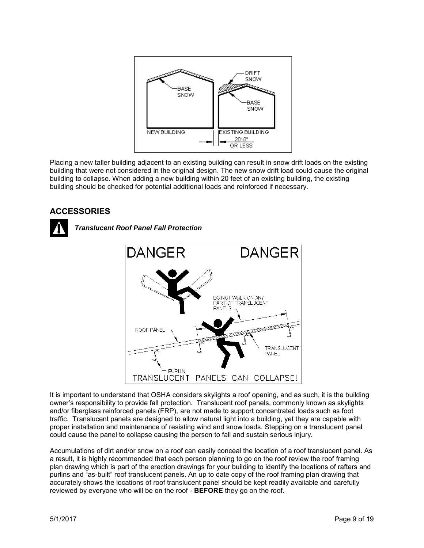

Placing a new taller building adjacent to an existing building can result in snow drift loads on the existing building that were not considered in the original design. The new snow drift load could cause the original building to collapse. When adding a new building within 20 feet of an existing building, the existing building should be checked for potential additional loads and reinforced if necessary.

## **ACCESSORIES**



*Translucent Roof Panel Fall Protection*



It is important to understand that OSHA considers skylights a roof opening, and as such, it is the building owner's responsibility to provide fall protection. Translucent roof panels, commonly known as skylights and/or fiberglass reinforced panels (FRP), are not made to support concentrated loads such as foot traffic. Translucent panels are designed to allow natural light into a building, yet they are capable with proper installation and maintenance of resisting wind and snow loads. Stepping on a translucent panel could cause the panel to collapse causing the person to fall and sustain serious injury.

Accumulations of dirt and/or snow on a roof can easily conceal the location of a roof translucent panel. As a result, it is highly recommended that each person planning to go on the roof review the roof framing plan drawing which is part of the erection drawings for your building to identify the locations of rafters and purlins and "as-built" roof translucent panels. An up to date copy of the roof framing plan drawing that accurately shows the locations of roof translucent panel should be kept readily available and carefully reviewed by everyone who will be on the roof - **BEFORE** they go on the roof.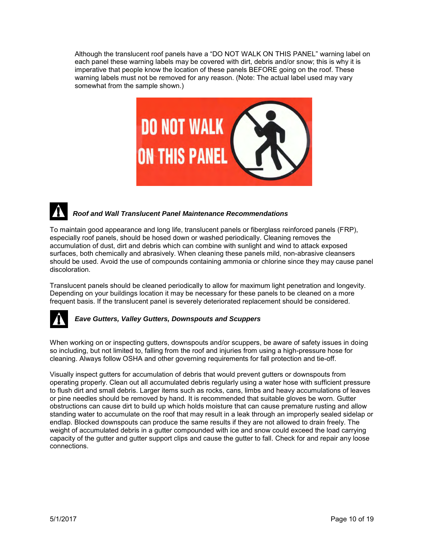Although the translucent roof panels have a "DO NOT WALK ON THIS PANEL" warning label on each panel these warning labels may be covered with dirt, debris and/or snow; this is why it is imperative that people know the location of these panels BEFORE going on the roof. These warning labels must not be removed for any reason. (Note: The actual label used may vary somewhat from the sample shown.)



## *Roof and Wall Translucent Panel Maintenance Recommendations*

To maintain good appearance and long life, translucent panels or fiberglass reinforced panels (FRP), especially roof panels, should be hosed down or washed periodically. Cleaning removes the accumulation of dust, dirt and debris which can combine with sunlight and wind to attack exposed surfaces, both chemically and abrasively. When cleaning these panels mild, non-abrasive cleansers should be used. Avoid the use of compounds containing ammonia or chlorine since they may cause panel discoloration.

Translucent panels should be cleaned periodically to allow for maximum light penetration and longevity. Depending on your buildings location it may be necessary for these panels to be cleaned on a more frequent basis. If the translucent panel is severely deteriorated replacement should be considered.



#### *Eave Gutters, Valley Gutters, Downspouts and Scuppers*

When working on or inspecting gutters, downspouts and/or scuppers, be aware of safety issues in doing so including, but not limited to, falling from the roof and injuries from using a high-pressure hose for cleaning. Always follow OSHA and other governing requirements for fall protection and tie-off.

Visually inspect gutters for accumulation of debris that would prevent gutters or downspouts from operating properly. Clean out all accumulated debris regularly using a water hose with sufficient pressure to flush dirt and small debris. Larger items such as rocks, cans, limbs and heavy accumulations of leaves or pine needles should be removed by hand. It is recommended that suitable gloves be worn. Gutter obstructions can cause dirt to build up which holds moisture that can cause premature rusting and allow standing water to accumulate on the roof that may result in a leak through an improperly sealed sidelap or endlap. Blocked downspouts can produce the same results if they are not allowed to drain freely. The weight of accumulated debris in a gutter compounded with ice and snow could exceed the load carrying capacity of the gutter and gutter support clips and cause the gutter to fall. Check for and repair any loose connections.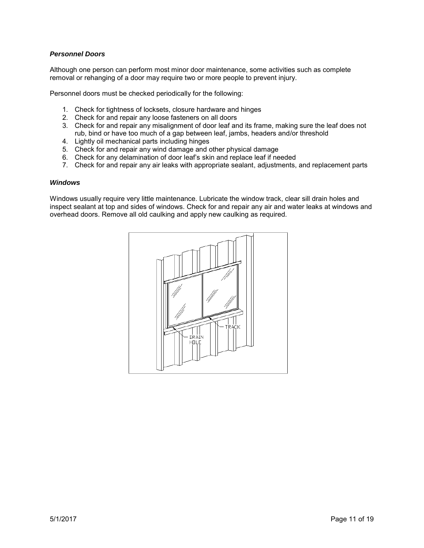#### *Personnel Doors*

Although one person can perform most minor door maintenance, some activities such as complete removal or rehanging of a door may require two or more people to prevent injury.

Personnel doors must be checked periodically for the following:

- 1. Check for tightness of locksets, closure hardware and hinges
- 2. Check for and repair any loose fasteners on all doors
- 3. Check for and repair any misalignment of door leaf and its frame, making sure the leaf does not rub, bind or have too much of a gap between leaf, jambs, headers and/or threshold
- 4. Lightly oil mechanical parts including hinges
- 5. Check for and repair any wind damage and other physical damage
- 6. Check for any delamination of door leaf's skin and replace leaf if needed
- 7. Check for and repair any air leaks with appropriate sealant, adjustments, and replacement parts

#### *Windows*

Windows usually require very little maintenance. Lubricate the window track, clear sill drain holes and inspect sealant at top and sides of windows. Check for and repair any air and water leaks at windows and overhead doors. Remove all old caulking and apply new caulking as required.

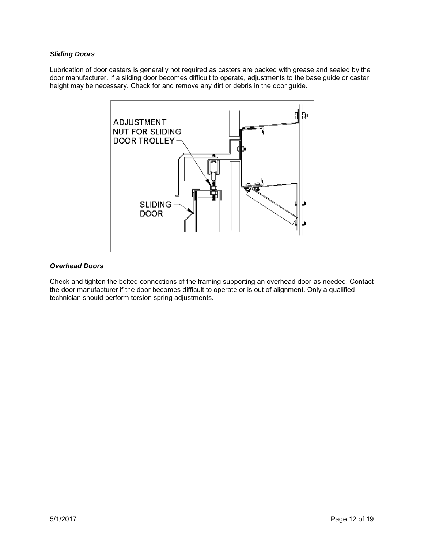#### *Sliding Doors*

Lubrication of door casters is generally not required as casters are packed with grease and sealed by the door manufacturer. If a sliding door becomes difficult to operate, adjustments to the base guide or caster height may be necessary. Check for and remove any dirt or debris in the door guide.



#### *Overhead Doors*

Check and tighten the bolted connections of the framing supporting an overhead door as needed. Contact the door manufacturer if the door becomes difficult to operate or is out of alignment. Only a qualified technician should perform torsion spring adjustments.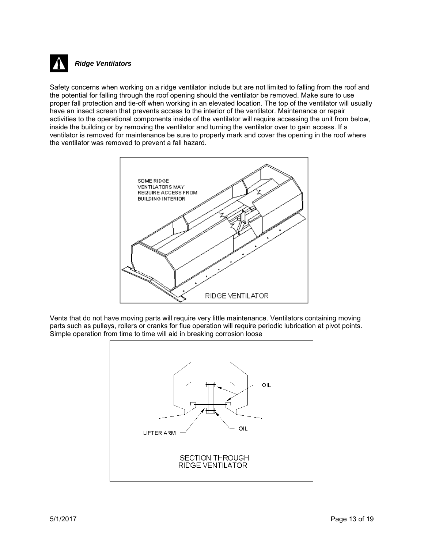

#### *Ridge Ventilators*

Safety concerns when working on a ridge ventilator include but are not limited to falling from the roof and the potential for falling through the roof opening should the ventilator be removed. Make sure to use proper fall protection and tie-off when working in an elevated location. The top of the ventilator will usually have an insect screen that prevents access to the interior of the ventilator. Maintenance or repair activities to the operational components inside of the ventilator will require accessing the unit from below, inside the building or by removing the ventilator and turning the ventilator over to gain access. If a ventilator is removed for maintenance be sure to properly mark and cover the opening in the roof where the ventilator was removed to prevent a fall hazard.



Vents that do not have moving parts will require very little maintenance. Ventilators containing moving parts such as pulleys, rollers or cranks for flue operation will require periodic lubrication at pivot points. Simple operation from time to time will aid in breaking corrosion loose

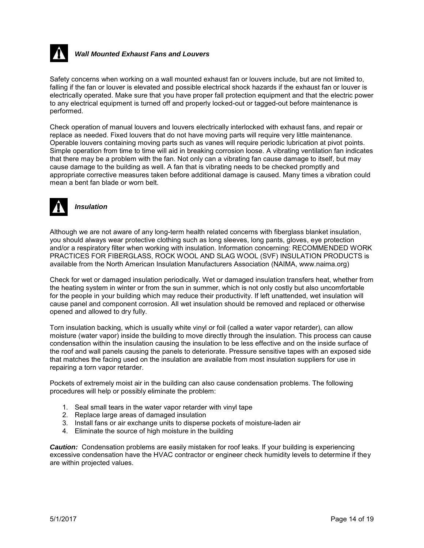

#### *Wall Mounted Exhaust Fans and Louvers*

Safety concerns when working on a wall mounted exhaust fan or louvers include, but are not limited to, falling if the fan or louver is elevated and possible electrical shock hazards if the exhaust fan or louver is electrically operated. Make sure that you have proper fall protection equipment and that the electric power to any electrical equipment is turned off and properly locked-out or tagged-out before maintenance is performed.

Check operation of manual louvers and louvers electrically interlocked with exhaust fans, and repair or replace as needed. Fixed louvers that do not have moving parts will require very little maintenance. Operable louvers containing moving parts such as vanes will require periodic lubrication at pivot points. Simple operation from time to time will aid in breaking corrosion loose. A vibrating ventilation fan indicates that there may be a problem with the fan. Not only can a vibrating fan cause damage to itself, but may cause damage to the building as well. A fan that is vibrating needs to be checked promptly and appropriate corrective measures taken before additional damage is caused. Many times a vibration could mean a bent fan blade or worn belt.



*Insulation* 

Although we are not aware of any long-term health related concerns with fiberglass blanket insulation, you should always wear protective clothing such as long sleeves, long pants, gloves, eye protection and/or a respiratory filter when working with insulation. Information concerning: RECOMMENDED WORK PRACTICES FOR FIBERGLASS, ROCK WOOL AND SLAG WOOL (SVF) INSULATION PRODUCTS is available from the North American Insulation Manufacturers Association (NAIMA, www.naima.org)

Check for wet or damaged insulation periodically. Wet or damaged insulation transfers heat, whether from the heating system in winter or from the sun in summer, which is not only costly but also uncomfortable for the people in your building which may reduce their productivity. If left unattended, wet insulation will cause panel and component corrosion. All wet insulation should be removed and replaced or otherwise opened and allowed to dry fully.

Torn insulation backing, which is usually white vinyl or foil (called a water vapor retarder), can allow moisture (water vapor) inside the building to move directly through the insulation. This process can cause condensation within the insulation causing the insulation to be less effective and on the inside surface of the roof and wall panels causing the panels to deteriorate. Pressure sensitive tapes with an exposed side that matches the facing used on the insulation are available from most insulation suppliers for use in repairing a torn vapor retarder.

Pockets of extremely moist air in the building can also cause condensation problems. The following procedures will help or possibly eliminate the problem:

- 1. Seal small tears in the water vapor retarder with vinyl tape
- 2. Replace large areas of damaged insulation
- 3. Install fans or air exchange units to disperse pockets of moisture-laden air
- 4. Eliminate the source of high moisture in the building

*Caution:* Condensation problems are easily mistaken for roof leaks. If your building is experiencing excessive condensation have the HVAC contractor or engineer check humidity levels to determine if they are within projected values.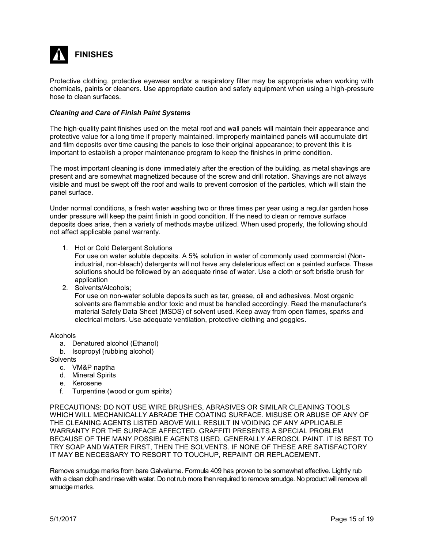

Protective clothing, protective eyewear and/or a respiratory filter may be appropriate when working with chemicals, paints or cleaners. Use appropriate caution and safety equipment when using a high-pressure hose to clean surfaces.

#### *Cleaning and Care of Finish Paint Systems*

The high-quality paint finishes used on the metal roof and wall panels will maintain their appearance and protective value for a long time if properly maintained. Improperly maintained panels will accumulate dirt and film deposits over time causing the panels to lose their original appearance; to prevent this it is important to establish a proper maintenance program to keep the finishes in prime condition.

The most important cleaning is done immediately after the erection of the building, as metal shavings are present and are somewhat magnetized because of the screw and drill rotation. Shavings are not always visible and must be swept off the roof and walls to prevent corrosion of the particles, which will stain the panel surface.

Under normal conditions, a fresh water washing two or three times per year using a regular garden hose under pressure will keep the paint finish in good condition. If the need to clean or remove surface deposits does arise, then a variety of methods maybe utilized. When used properly, the following should not affect applicable panel warranty.

1. Hot or Cold Detergent Solutions

For use on water soluble deposits. A 5% solution in water of commonly used commercial (Nonindustrial, non-bleach) detergents will not have any deleterious effect on a painted surface. These solutions should be followed by an adequate rinse of water. Use a cloth or soft bristle brush for application

2. Solvents/Alcohols;

For use on non-water soluble deposits such as tar, grease, oil and adhesives. Most organic solvents are flammable and/or toxic and must be handled accordingly. Read the manufacturer's material Safety Data Sheet (MSDS) of solvent used. Keep away from open flames, sparks and electrical motors. Use adequate ventilation, protective clothing and goggles.

#### Alcohols

- a. Denatured alcohol (Ethanol)
- b. Isopropyl (rubbing alcohol)

**Solvents** 

- c. VM&P naptha
- d. Mineral Spirits
- e. Kerosene
- f. Turpentine (wood or gum spirits)

PRECAUTIONS: DO NOT USE WIRE BRUSHES, ABRASIVES OR SIMILAR CLEANING TOOLS WHICH WILL MECHANICALLY ABRADE THE COATING SURFACE. MISUSE OR ABUSE OF ANY OF THE CLEANING AGENTS LISTED ABOVE WILL RESULT IN VOIDING OF ANY APPLICABLE WARRANTY FOR THE SURFACE AFFECTED. GRAFFITI PRESENTS A SPECIAL PROBLEM BECAUSE OF THE MANY POSSIBLE AGENTS USED, GENERALLY AEROSOL PAINT. IT IS BEST TO TRY SOAP AND WATER FIRST, THEN THE SOLVENTS. IF NONE OF THESE ARE SATISFACTORY IT MAY BE NECESSARY TO RESORT TO TOUCHUP, REPAINT OR REPLACEMENT.

Remove smudge marks from bare Galvalume. Formula 409 has proven to be somewhat effective. Lightly rub with a clean cloth and rinse with water. Do not rub more than required to remove smudge. No product will remove all smudge marks.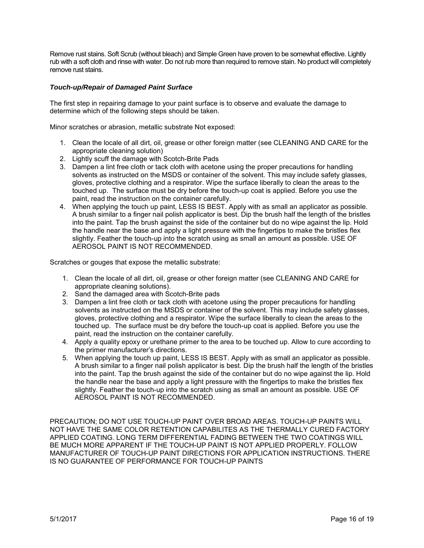Remove rust stains. Soft Scrub (without bleach) and Simple Green have proven to be somewhat effective. Lightly rub with a soft cloth and rinse with water. Do not rub more than required to remove stain. No product will completely remove rust stains.

#### *Touch-up/Repair of Damaged Paint Surface*

The first step in repairing damage to your paint surface is to observe and evaluate the damage to determine which of the following steps should be taken.

Minor scratches or abrasion, metallic substrate Not exposed:

- 1. Clean the locale of all dirt, oil, grease or other foreign matter (see CLEANING AND CARE for the appropriate cleaning solution)
- 2. Lightly scuff the damage with Scotch-Brite Pads
- 3. Dampen a lint free cloth or tack cloth with acetone using the proper precautions for handling solvents as instructed on the MSDS or container of the solvent. This may include safety glasses, gloves, protective clothing and a respirator. Wipe the surface liberally to clean the areas to the touched up. The surface must be dry before the touch-up coat is applied. Before you use the paint, read the instruction on the container carefully.
- 4. When applying the touch up paint, LESS IS BEST. Apply with as small an applicator as possible. A brush similar to a finger nail polish applicator is best. Dip the brush half the length of the bristles into the paint. Tap the brush against the side of the container but do no wipe against the lip. Hold the handle near the base and apply a light pressure with the fingertips to make the bristles flex slightly. Feather the touch-up into the scratch using as small an amount as possible. USE OF AEROSOL PAINT IS NOT RECOMMENDED.

Scratches or gouges that expose the metallic substrate:

- 1. Clean the locale of all dirt, oil, grease or other foreign matter (see CLEANING AND CARE for appropriate cleaning solutions).
- 2. Sand the damaged area with Scotch-Brite pads
- 3. Dampen a lint free cloth or tack cloth with acetone using the proper precautions for handling solvents as instructed on the MSDS or container of the solvent. This may include safety glasses, gloves, protective clothing and a respirator. Wipe the surface liberally to clean the areas to the touched up. The surface must be dry before the touch-up coat is applied. Before you use the paint, read the instruction on the container carefully.
- 4. Apply a quality epoxy or urethane primer to the area to be touched up. Allow to cure according to the primer manufacturer's directions.
- 5. When applying the touch up paint, LESS IS BEST. Apply with as small an applicator as possible. A brush similar to a finger nail polish applicator is best. Dip the brush half the length of the bristles into the paint. Tap the brush against the side of the container but do no wipe against the lip. Hold the handle near the base and apply a light pressure with the fingertips to make the bristles flex slightly. Feather the touch-up into the scratch using as small an amount as possible. USE OF AEROSOL PAINT IS NOT RECOMMENDED.

PRECAUTION; DO NOT USE TOUCH-UP PAINT OVER BROAD AREAS. TOUCH-UP PAINTS WILL NOT HAVE THE SAME COLOR RETENTION CAPABILITES AS THE THERMALLY CURED FACTORY APPLIED COATING. LONG TERM DIFFERENTIAL FADING BETWEEN THE TWO COATINGS WILL BE MUCH MORE APPARENT IF THE TOUCH-UP PAINT IS NOT APPLIED PROPERLY. FOLLOW MANUFACTURER OF TOUCH-UP PAINT DIRECTIONS FOR APPLICATION INSTRUCTIONS. THERE IS NO GUARANTEE OF PERFORMANCE FOR TOUCH-UP PAINTS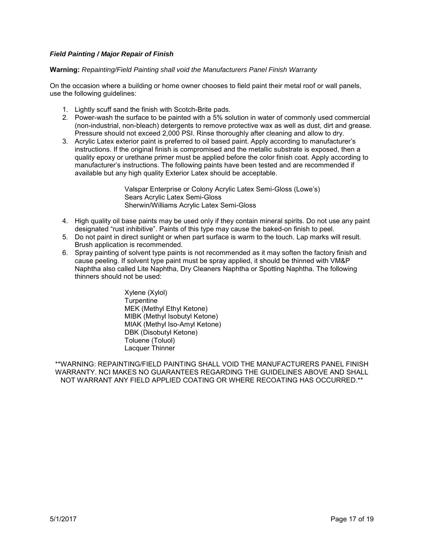#### *Field Painting / Major Repair of Finish*

#### **Warning:** *Repainting/Field Painting shall void the Manufacturers Panel Finish Warranty*

On the occasion where a building or home owner chooses to field paint their metal roof or wall panels, use the following guidelines:

- 1. Lightly scuff sand the finish with Scotch-Brite pads.
- 2. Power-wash the surface to be painted with a 5% solution in water of commonly used commercial (non-industrial, non-bleach) detergents to remove protective wax as well as dust, dirt and grease. Pressure should not exceed 2,000 PSI. Rinse thoroughly after cleaning and allow to dry.
- 3. Acrylic Latex exterior paint is preferred to oil based paint. Apply according to manufacturer's instructions. If the original finish is compromised and the metallic substrate is exposed, then a quality epoxy or urethane primer must be applied before the color finish coat. Apply according to manufacturer's instructions. The following paints have been tested and are recommended if available but any high quality Exterior Latex should be acceptable.

Valspar Enterprise or Colony Acrylic Latex Semi-Gloss (Lowe's) Sears Acrylic Latex Semi-Gloss Sherwin/Williams Acrylic Latex Semi-Gloss

- 4. High quality oil base paints may be used only if they contain mineral spirits. Do not use any paint designated "rust inhibitive". Paints of this type may cause the baked-on finish to peel.
- 5. Do not paint in direct sunlight or when part surface is warm to the touch. Lap marks will result. Brush application is recommended.
- 6. Spray painting of solvent type paints is not recommended as it may soften the factory finish and cause peeling. If solvent type paint must be spray applied, it should be thinned with VM&P Naphtha also called Lite Naphtha, Dry Cleaners Naphtha or Spotting Naphtha. The following thinners should not be used:

Xylene (Xylol) **Turpentine** MEK (Methyl Ethyl Ketone) MIBK (Methyl Isobutyl Ketone) MIAK (Methyl Iso-Amyl Ketone) DBK (Disobutyl Ketone) Toluene (Toluol) Lacquer Thinner

\*\*WARNING: REPAINTING/FIELD PAINTING SHALL VOID THE MANUFACTURERS PANEL FINISH WARRANTY. NCI MAKES NO GUARANTEES REGARDING THE GUIDELINES ABOVE AND SHALL NOT WARRANT ANY FIELD APPLIED COATING OR WHERE RECOATING HAS OCCURRED.\*\*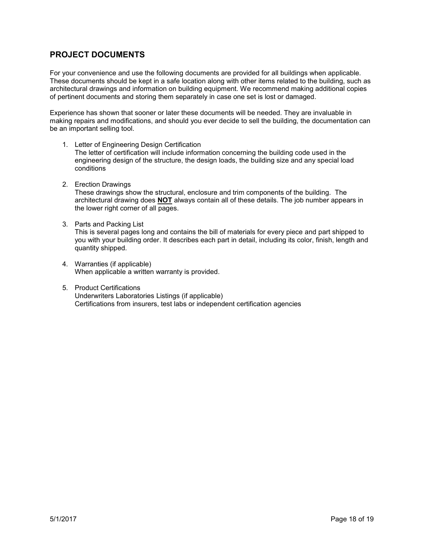## **PROJECT DOCUMENTS**

For your convenience and use the following documents are provided for all buildings when applicable. These documents should be kept in a safe location along with other items related to the building, such as architectural drawings and information on building equipment. We recommend making additional copies of pertinent documents and storing them separately in case one set is lost or damaged.

Experience has shown that sooner or later these documents will be needed. They are invaluable in making repairs and modifications, and should you ever decide to sell the building, the documentation can be an important selling tool.

- 1. Letter of Engineering Design Certification The letter of certification will include information concerning the building code used in the engineering design of the structure, the design loads, the building size and any special load conditions
- 2. Erection Drawings These drawings show the structural, enclosure and trim components of the building. The architectural drawing does **NOT** always contain all of these details. The job number appears in the lower right corner of all pages.
- 3. Parts and Packing List This is several pages long and contains the bill of materials for every piece and part shipped to you with your building order. It describes each part in detail, including its color, finish, length and quantity shipped.
- 4. Warranties (if applicable) When applicable a written warranty is provided.
- 5. Product Certifications Underwriters Laboratories Listings (if applicable) Certifications from insurers, test labs or independent certification agencies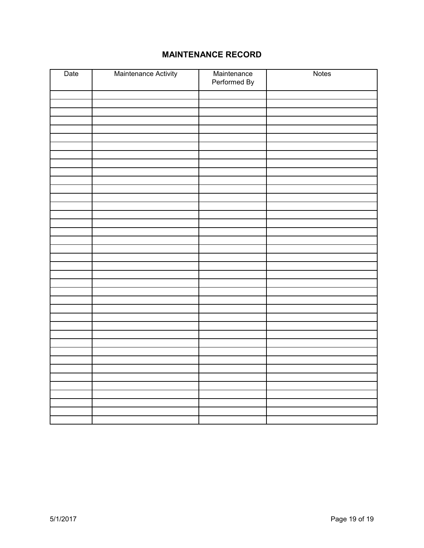# **MAINTENANCE RECORD**

| Date | Maintenance Activity | Maintenance<br>Performed By | Notes |
|------|----------------------|-----------------------------|-------|
|      |                      |                             |       |
|      |                      |                             |       |
|      |                      |                             |       |
|      |                      |                             |       |
|      |                      |                             |       |
|      |                      |                             |       |
|      |                      |                             |       |
|      |                      |                             |       |
|      |                      |                             |       |
|      |                      |                             |       |
|      |                      |                             |       |
|      |                      |                             |       |
|      |                      |                             |       |
|      |                      |                             |       |
|      |                      |                             |       |
|      |                      |                             |       |
|      |                      |                             |       |
|      |                      |                             |       |
|      |                      |                             |       |
|      |                      |                             |       |
|      |                      |                             |       |
|      |                      |                             |       |
|      |                      |                             |       |
|      |                      |                             |       |
|      |                      |                             |       |
|      |                      |                             |       |
|      |                      |                             |       |
|      |                      |                             |       |
|      |                      |                             |       |
|      |                      |                             |       |
|      |                      |                             |       |
|      |                      |                             |       |
|      |                      |                             |       |
|      |                      |                             |       |
|      |                      |                             |       |
|      |                      |                             |       |
|      |                      |                             |       |
|      |                      |                             |       |
|      |                      |                             |       |